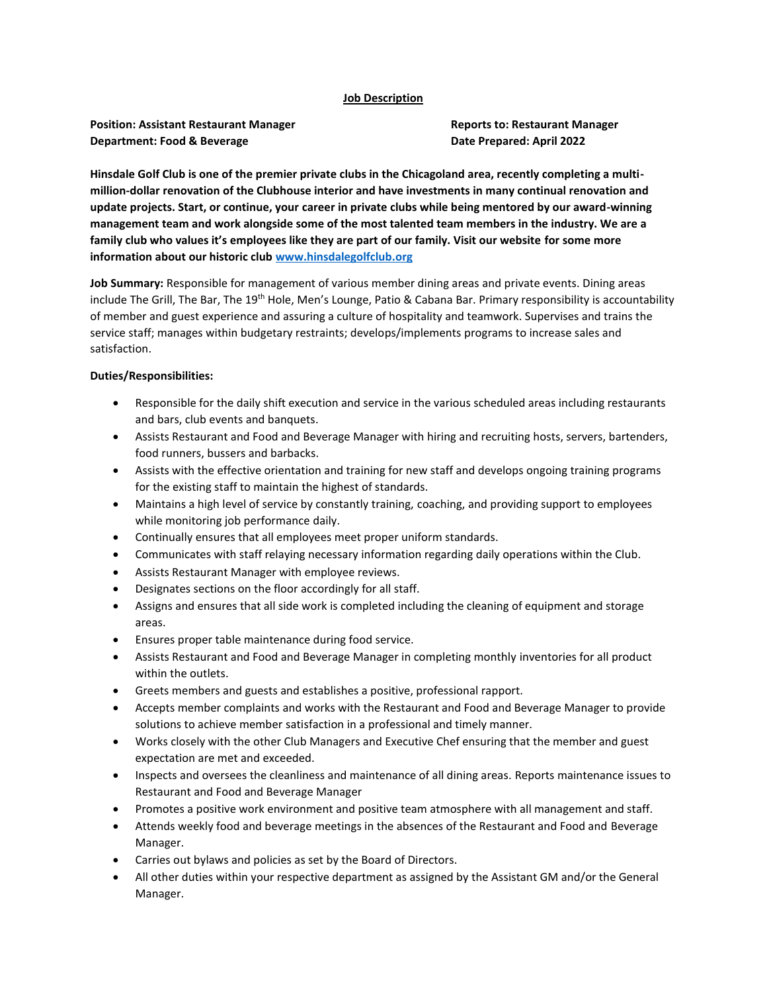#### **Job Description**

**Position: Assistant Restaurant Manager Reports to: Restaurant Manager Department: Food & Beverage <b>Date Prepared: April 2022** 

**Hinsdale Golf Club is one of the premier private clubs in the Chicagoland area, recently completing a multimillion-dollar renovation of the Clubhouse interior and have investments in many continual renovation and update projects. Start, or continue, your career in private clubs while being mentored by our award-winning management team and work alongside some of the most talented team members in the industry. We are a family club who values it's employees like they are part of our family. Visit our website for some more information about our historic club [www.hinsdalegolfclub.org](http://www.hinsdalegolfclub.org/)**

**Job Summary:** Responsible for management of various member dining areas and private events. Dining areas include The Grill, The Bar, The 19<sup>th</sup> Hole, Men's Lounge, Patio & Cabana Bar. Primary responsibility is accountability of member and guest experience and assuring a culture of hospitality and teamwork. Supervises and trains the service staff; manages within budgetary restraints; develops/implements programs to increase sales and satisfaction.

#### **Duties/Responsibilities:**

- Responsible for the daily shift execution and service in the various scheduled areas including restaurants and bars, club events and banquets.
- Assists Restaurant and Food and Beverage Manager with hiring and recruiting hosts, servers, bartenders, food runners, bussers and barbacks.
- Assists with the effective orientation and training for new staff and develops ongoing training programs for the existing staff to maintain the highest of standards.
- Maintains a high level of service by constantly training, coaching, and providing support to employees while monitoring job performance daily.
- Continually ensures that all employees meet proper uniform standards.
- Communicates with staff relaying necessary information regarding daily operations within the Club.
- Assists Restaurant Manager with employee reviews.
- Designates sections on the floor accordingly for all staff.
- Assigns and ensures that all side work is completed including the cleaning of equipment and storage areas.
- Ensures proper table maintenance during food service.
- Assists Restaurant and Food and Beverage Manager in completing monthly inventories for all product within the outlets.
- Greets members and guests and establishes a positive, professional rapport.
- Accepts member complaints and works with the Restaurant and Food and Beverage Manager to provide solutions to achieve member satisfaction in a professional and timely manner.
- Works closely with the other Club Managers and Executive Chef ensuring that the member and guest expectation are met and exceeded.
- Inspects and oversees the cleanliness and maintenance of all dining areas. Reports maintenance issues to Restaurant and Food and Beverage Manager
- Promotes a positive work environment and positive team atmosphere with all management and staff.
- Attends weekly food and beverage meetings in the absences of the Restaurant and Food and Beverage Manager.
- Carries out bylaws and policies as set by the Board of Directors.
- All other duties within your respective department as assigned by the Assistant GM and/or the General Manager.